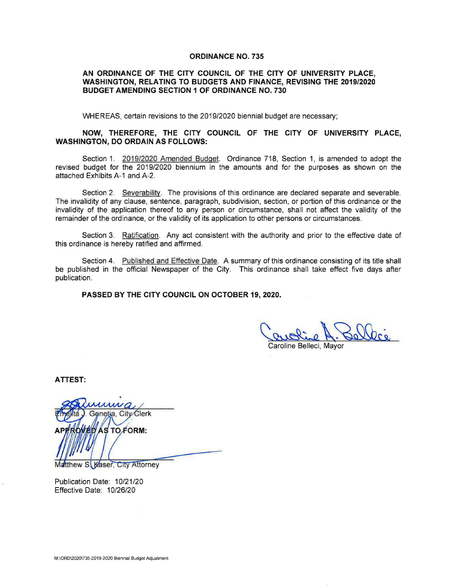### **ORDINANCE NO. 735**

## **AN ORDINANCE OF THE CITY COUNCIL OF THE CITY OF UNIVERSITY PLACE, WASHINGTON, RELATING TO BUDGETS AND FINANCE, REVISING THE 2019/2020 BUDGET AMENDING SECTION 1 OF ORDINANCE NO. 730**

WHEREAS, certain revisions to the 2019/2020 biennial budget are necessary;

# **NOW, THEREFORE, THE CITY COUNCIL OF THE CITY OF UNIVERSITY PLACE, WASHINGTON, DO ORDAIN AS FOLLOWS:**

Section 1. 2019/2020 Amended Budget. Ordinance 718, Section 1, is amended to adopt the revised budget for the 2019/2020 biennium in the amounts and for the purposes as shown on the attached Exhibits A-1 and A-2.

Section 2. Severability. The provisions of this ordinance are declared separate and severable. The invalidity of any clause, sentence, paragraph, subdivision, section, or portion of this ordinance or the invalidity of the application thereof to any person or circumstance, shall not affect the validity of the remainder of the ordinance, or the validity of its application to other persons or circumstances.

Section 3. Ratification. Any act consistent with the authority and prior to the effective date of this ordinance is hereby ratified and affirmed.

Section 4. Published and Effective Date. A summary of this ordinance consisting of its title shall be published in the official Newspaper of the City. This ordinance shall take effect five days after publication.

**PASSED BY THE CITY COUNCIL ON OCTOBER 19, 2020.** 

Caroline Belleci, Mayor

**ATTEST:** 

Genetia, City Clerk **AS TO FORM:** 

Matthew S. Kaser, City Attorney

Publication Date: 10/21/20 Effective Date: 10/26/20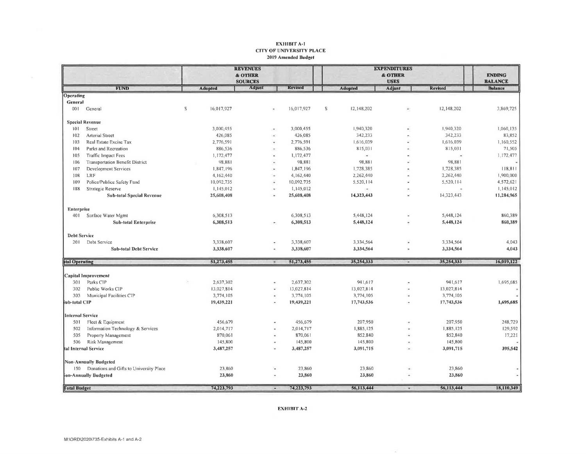#### ΕΧΗΙΒΙΤ Α-1 **CITY OF UNIVERSITY PLACE** 2019 Amended Budget

|                              |                                             |                | <b>REVENUES</b> |                       |                |  | <b>EXPENDITURES</b> |                |                          |                |                |
|------------------------------|---------------------------------------------|----------------|-----------------|-----------------------|----------------|--|---------------------|----------------|--------------------------|----------------|----------------|
|                              |                                             |                | & OTHER         |                       |                |  |                     | & OTHER        |                          |                |                |
|                              |                                             | <b>SOURCES</b> |                 |                       |                |  | <b>USES</b>         |                |                          |                | <b>BALANCE</b> |
|                              | <b>FUND</b>                                 |                | <b>Adopted</b>  | Adjust                | <b>Revised</b> |  |                     | <b>Adopted</b> | Adjust                   | <b>Revised</b> | <b>Balance</b> |
| Operating                    |                                             |                |                 |                       |                |  |                     |                |                          |                |                |
| General                      |                                             |                |                 |                       |                |  |                     |                |                          |                |                |
| 001                          | General                                     | S              | 16,017,927      |                       | 16,017,927     |  | ${\mathbb S}$       | 12,148,202     |                          | 12,148,202     | 3,869,725      |
|                              | <b>Special Revenue</b>                      |                |                 |                       |                |  |                     |                |                          |                |                |
| 101                          | Street                                      |                | 3,000,455       | $\tilde{\phantom{a}}$ | 3,000,455      |  |                     | 1,940,320      |                          | 1,940,320      | 1,060,135      |
| 102                          | <b>Arterial Street</b>                      |                | 426,085         | ÷                     | 426,085        |  |                     | 342,233        |                          | 342,233        | 83,852         |
| 103                          | Real Estate Excise Tax                      |                | 2,776,591       |                       | 2,776,591      |  |                     | 1,616,039      |                          | 1,616,039      | 1,160,552      |
| 104                          | Parks and Recreation                        |                | 886,536         |                       | 886,536        |  |                     | 815,031        |                          | 815,031        | 71,505         |
| 105                          | <b>Traffic Impact Fees</b>                  |                | 1,172,477       |                       | 1,172,477      |  |                     | $\sim$         |                          |                | 1,172,477      |
| 106                          | <b>Transportation Benefit District</b>      |                | 98,881          | ٠                     | 98,881         |  |                     | 98,881         |                          | 98,881         |                |
| 107                          | Development Services                        |                | 1,847,196       | ×                     | 1,847,196      |  |                     | 1,728,385      |                          | 1,728,385      | 118,811        |
| 108                          | LRF                                         |                | 4,162,440       | i.                    | 4,162,440      |  |                     | 2,262,440      |                          | 2,262,440      | 1,900,000      |
| 109                          | Police/Publice Safety Fund                  |                | 10,092,735      | ٠                     | 10,092,735     |  |                     | 5,520,114      |                          | 5,520,114      | 4,572,621      |
| 188                          | Strategic Reserve                           |                | 1,145,012       | $\blacksquare$        | 1,145,012      |  |                     | œ.             |                          |                | 1,145,012      |
|                              | <b>Sub-total Special Revenue</b>            |                | 25,608,408      | ٠                     | 25,608,408     |  |                     | 14,323,443     |                          | 14,323,443     | 11,284,965     |
| <b>Enterprise</b>            |                                             |                |                 |                       |                |  |                     |                |                          |                |                |
| 401                          | Surface Water Mgmt                          |                | 6,308,513       |                       | 6,308,513      |  |                     | 5,448,124      |                          | 5,448,124      | 860,389        |
|                              | <b>Sub-total Enterprise</b>                 |                | 6,308,513       |                       | 6,308,513      |  |                     | 5,448,124      |                          | 5,448,124      | 860,389        |
| <b>Debt Service</b>          |                                             |                |                 |                       |                |  |                     |                |                          |                |                |
| 201                          | Debt Service                                |                | 3,338,607       |                       | 3,338,607      |  |                     | 3,334,564      |                          | 3,334,564      | 4,043          |
|                              | <b>Sub-total Debt Service</b>               |                | 3,338,607       | $\ddot{}$             | 3,338,607      |  |                     | 3,334,564      |                          | 3,334,564      | 4,043          |
|                              |                                             |                |                 |                       |                |  |                     |                |                          |                |                |
| <b>htal Operating</b>        |                                             |                | 51,273,455      |                       | 51,273,455     |  |                     | 35,254,333     |                          | 35,254,333     | 16,019,122     |
| Capital Improvement          |                                             |                |                 |                       |                |  |                     |                |                          |                |                |
| 301                          | Parks CIP                                   |                | 2,637,302       |                       | 2,637,302      |  |                     | 941,617        |                          | 941,617        | 1,695,685      |
| 302                          | Public Works CIP                            |                | 13,027,814      | $\omega$              | 13,027,814     |  |                     | 13,027,814     |                          | 13,027,814     |                |
| 303                          | Municipal Facilities CIP                    |                | 3,774,105       |                       | 3,774,105      |  |                     | 3,774,105      |                          | 3,774,105      |                |
| jub-total CIP                |                                             |                | 19,439,221      | $\bullet$             | 19,439,221     |  |                     | 17,743,536     | $\overline{\phantom{a}}$ | 17,743,536     | 1,695,685      |
| <b>Internal Service</b>      |                                             |                |                 |                       |                |  |                     |                |                          |                |                |
| 501                          | Fleet & Equipment                           |                | 456,679         |                       | 456,679        |  |                     | 207,950        |                          | 207,950        | 248,729        |
| 502                          | Information Technology & Services           |                | 2,014,717       |                       | 2,014,717      |  |                     | 1,885,125      |                          | 1,885,125      | 129,592        |
| 505                          | Property Management                         |                | 870,061         |                       | 870,061        |  |                     | 852,840        |                          | 852,840        | 17,221         |
| 506                          | Risk Management                             |                | 145,800         |                       | 145,800        |  |                     | 145,800        |                          | 145,800        |                |
| tal Internal Service         |                                             |                | 3,487,257       | ÷,                    | 3,487,257      |  |                     | 3,091,715      | ÷,                       | 3,091,715      | 395,542        |
| <b>Non-Annually Budgeted</b> |                                             |                |                 |                       |                |  |                     |                |                          |                |                |
|                              | 150 Donations and Gifts to University Place |                | 23,860          | ್ನ                    | 23,860         |  |                     | 23,860         |                          | 23,860         |                |
|                              | ion-Annually Budgeted                       |                | 23,860          | ٠                     | 23,860         |  |                     | 23,860         |                          | 23,860         |                |
| <b>Total Budget</b>          |                                             |                | 74,223,793      | $\overline{ }$        | 74,223,793     |  |                     | 56,113,444     |                          | 56,113,444     | 18,110,349     |

**EXHIBIT A-2** 

 $\sim$